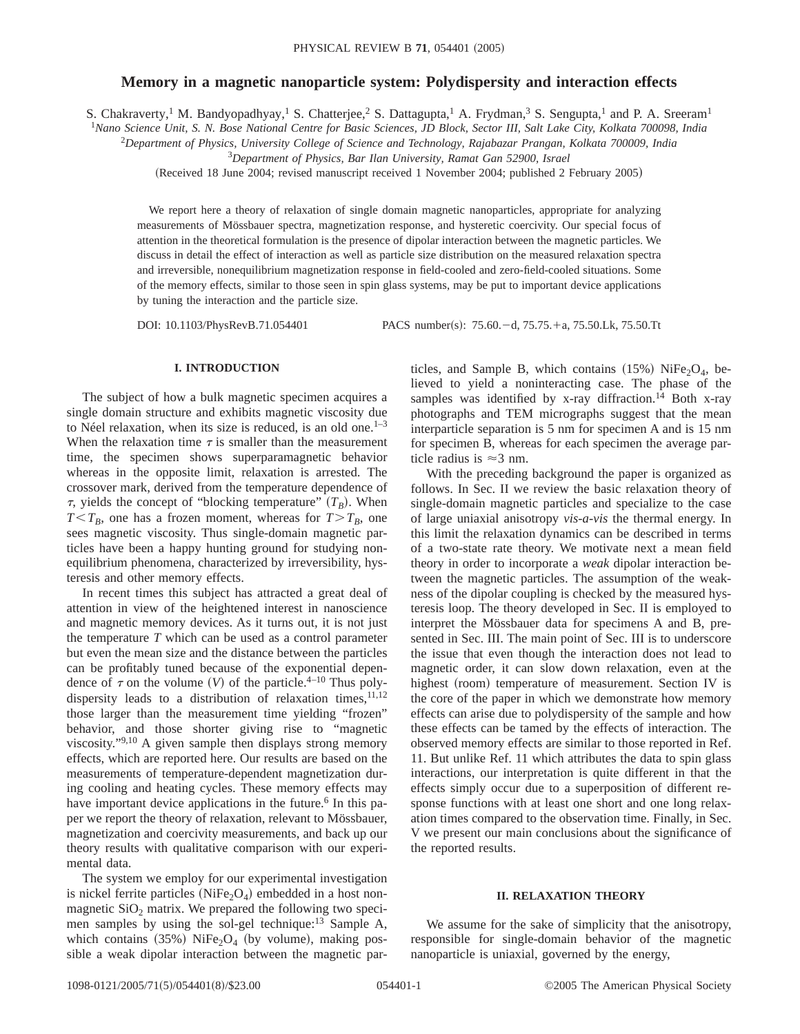# **Memory in a magnetic nanoparticle system: Polydispersity and interaction effects**

S. Chakraverty,<sup>1</sup> M. Bandyopadhyay,<sup>1</sup> S. Chatterjee,<sup>2</sup> S. Dattagupta,<sup>1</sup> A. Frydman,<sup>3</sup> S. Sengupta,<sup>1</sup> and P. A. Sreeram<sup>1</sup>

<sup>1</sup>*Nano Science Unit, S. N. Bose National Centre for Basic Sciences, JD Block, Sector III, Salt Lake City, Kolkata 700098, India*

2 *Department of Physics, University College of Science and Technology, Rajabazar Prangan, Kolkata 700009, India*

3 *Department of Physics, Bar Ilan University, Ramat Gan 52900, Israel*

(Received 18 June 2004; revised manuscript received 1 November 2004; published 2 February 2005)

We report here a theory of relaxation of single domain magnetic nanoparticles, appropriate for analyzing measurements of Mössbauer spectra, magnetization response, and hysteretic coercivity. Our special focus of attention in the theoretical formulation is the presence of dipolar interaction between the magnetic particles. We discuss in detail the effect of interaction as well as particle size distribution on the measured relaxation spectra and irreversible, nonequilibrium magnetization response in field-cooled and zero-field-cooled situations. Some of the memory effects, similar to those seen in spin glass systems, may be put to important device applications by tuning the interaction and the particle size.

DOI: 10.1103/PhysRevB.71.054401 PACS number(s): 75.60. -d, 75.75. +a, 75.50.Lk, 75.50.Tt

#### **I. INTRODUCTION**

The subject of how a bulk magnetic specimen acquires a single domain structure and exhibits magnetic viscosity due to Néel relaxation, when its size is reduced, is an old one. $1-3$ When the relaxation time  $\tau$  is smaller than the measurement time, the specimen shows superparamagnetic behavior whereas in the opposite limit, relaxation is arrested. The crossover mark, derived from the temperature dependence of  $\tau$ , yields the concept of "blocking temperature"  $(T_B)$ . When  $T < T_B$ , one has a frozen moment, whereas for  $T > T_B$ , one sees magnetic viscosity. Thus single-domain magnetic particles have been a happy hunting ground for studying nonequilibrium phenomena, characterized by irreversibility, hysteresis and other memory effects.

In recent times this subject has attracted a great deal of attention in view of the heightened interest in nanoscience and magnetic memory devices. As it turns out, it is not just the temperature *T* which can be used as a control parameter but even the mean size and the distance between the particles can be profitably tuned because of the exponential dependence of  $\tau$  on the volume (V) of the particle.<sup>4–10</sup> Thus polydispersity leads to a distribution of relaxation times,  $11,12$ those larger than the measurement time yielding "frozen" behavior, and those shorter giving rise to "magnetic viscosity."9,10 A given sample then displays strong memory effects, which are reported here. Our results are based on the measurements of temperature-dependent magnetization during cooling and heating cycles. These memory effects may have important device applications in the future.<sup>6</sup> In this paper we report the theory of relaxation, relevant to Mössbauer, magnetization and coercivity measurements, and back up our theory results with qualitative comparison with our experimental data.

The system we employ for our experimental investigation is nickel ferrite particles ( $NiFe<sub>2</sub>O<sub>4</sub>$ ) embedded in a host nonmagnetic  $SiO<sub>2</sub>$  matrix. We prepared the following two specimen samples by using the sol-gel technique:<sup>13</sup> Sample A, which contains  $(35%)$  NiFe<sub>2</sub>O<sub>4</sub> (by volume), making possible a weak dipolar interaction between the magnetic particles, and Sample B, which contains  $(15%)$  NiFe<sub>2</sub>O<sub>4</sub>, believed to yield a noninteracting case. The phase of the samples was identified by x-ray diffraction.<sup>14</sup> Both x-ray photographs and TEM micrographs suggest that the mean interparticle separation is 5 nm for specimen A and is 15 nm for specimen B, whereas for each specimen the average particle radius is  $\approx$  3 nm.

With the preceding background the paper is organized as follows. In Sec. II we review the basic relaxation theory of single-domain magnetic particles and specialize to the case of large uniaxial anisotropy *vis-a-vis* the thermal energy. In this limit the relaxation dynamics can be described in terms of a two-state rate theory. We motivate next a mean field theory in order to incorporate a *weak* dipolar interaction between the magnetic particles. The assumption of the weakness of the dipolar coupling is checked by the measured hysteresis loop. The theory developed in Sec. II is employed to interpret the Mössbauer data for specimens A and B, presented in Sec. III. The main point of Sec. III is to underscore the issue that even though the interaction does not lead to magnetic order, it can slow down relaxation, even at the highest (room) temperature of measurement. Section IV is the core of the paper in which we demonstrate how memory effects can arise due to polydispersity of the sample and how these effects can be tamed by the effects of interaction. The observed memory effects are similar to those reported in Ref. 11. But unlike Ref. 11 which attributes the data to spin glass interactions, our interpretation is quite different in that the effects simply occur due to a superposition of different response functions with at least one short and one long relaxation times compared to the observation time. Finally, in Sec. V we present our main conclusions about the significance of the reported results.

#### **II. RELAXATION THEORY**

We assume for the sake of simplicity that the anisotropy, responsible for single-domain behavior of the magnetic nanoparticle is uniaxial, governed by the energy,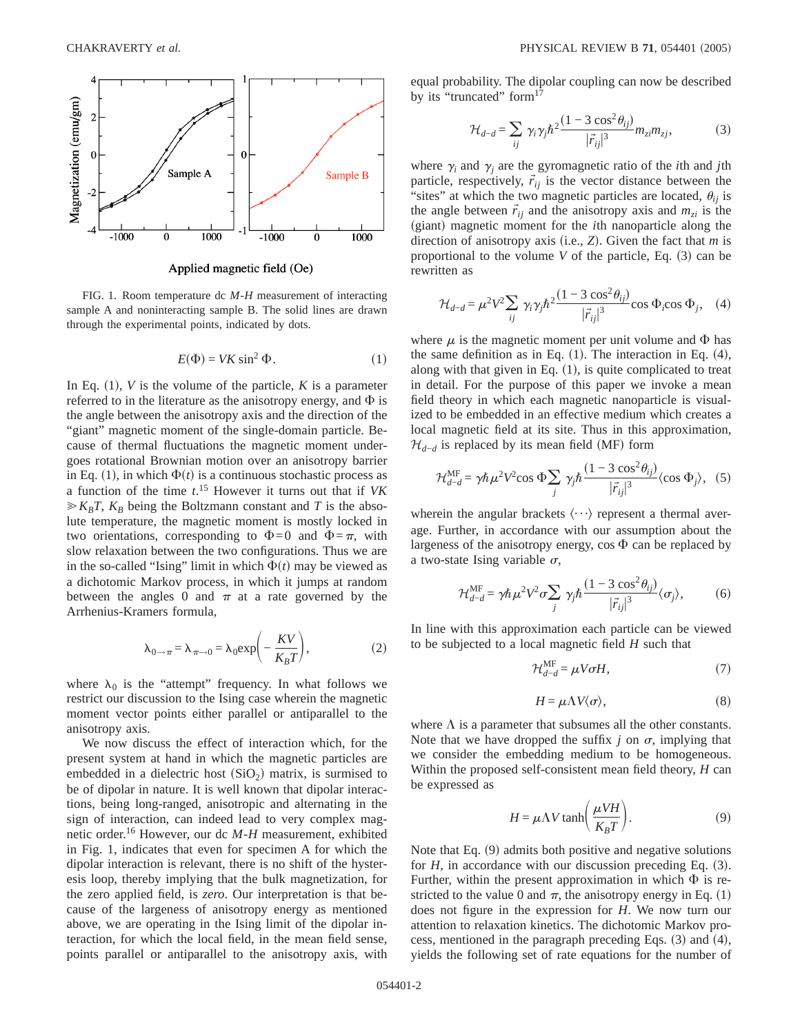

Applied magnetic field (Oe)

FIG. 1. Room temperature dc *M*-*H* measurement of interacting sample A and noninteracting sample B. The solid lines are drawn through the experimental points, indicated by dots.

$$
E(\Phi) = VK \sin^2 \Phi.
$$
 (1)

In Eq.  $(1)$ , *V* is the volume of the particle, *K* is a parameter referred to in the literature as the anisotropy energy, and  $\Phi$  is the angle between the anisotropy axis and the direction of the "giant" magnetic moment of the single-domain particle. Because of thermal fluctuations the magnetic moment undergoes rotational Brownian motion over an anisotropy barrier in Eq. (1), in which  $\Phi(t)$  is a continuous stochastic process as a function of the time *t*. <sup>15</sup> However it turns out that if *VK*  $\geq K_B T$ ,  $K_B$  being the Boltzmann constant and *T* is the absolute temperature, the magnetic moment is mostly locked in two orientations, corresponding to  $\Phi=0$  and  $\Phi=\pi$ , with slow relaxation between the two configurations. Thus we are in the so-called "Ising" limit in which  $\Phi(t)$  may be viewed as a dichotomic Markov process, in which it jumps at random between the angles 0 and  $\pi$  at a rate governed by the Arrhenius-Kramers formula,

$$
\lambda_{0 \to \pi} = \lambda_{\pi \to 0} = \lambda_0 \exp\left(-\frac{KV}{K_B T}\right),\tag{2}
$$

where  $\lambda_0$  is the "attempt" frequency. In what follows we restrict our discussion to the Ising case wherein the magnetic moment vector points either parallel or antiparallel to the anisotropy axis.

We now discuss the effect of interaction which, for the present system at hand in which the magnetic particles are embedded in a dielectric host  $(SiO<sub>2</sub>)$  matrix, is surmised to be of dipolar in nature. It is well known that dipolar interactions, being long-ranged, anisotropic and alternating in the sign of interaction, can indeed lead to very complex magnetic order.16 However, our dc *M*-*H* measurement, exhibited in Fig. 1, indicates that even for specimen A for which the dipolar interaction is relevant, there is no shift of the hysteresis loop, thereby implying that the bulk magnetization, for the zero applied field, is *zero*. Our interpretation is that because of the largeness of anisotropy energy as mentioned above, we are operating in the Ising limit of the dipolar interaction, for which the local field, in the mean field sense, points parallel or antiparallel to the anisotropy axis, with equal probability. The dipolar coupling can now be described by its "truncated" form<sup>17</sup>

$$
\mathcal{H}_{d-d} = \sum_{ij} \gamma_i \gamma_j \hbar^2 \frac{(1 - 3\cos^2 \theta_{ij})}{|\vec{r}_{ij}|^3} m_{zi} m_{zj},\tag{3}
$$

where  $\gamma_i$  and  $\gamma_j$  are the gyromagnetic ratio of the *i*th and *j*th particle, respectively,  $\vec{r}_{ij}$  is the vector distance between the "sites" at which the two magnetic particles are located,  $\theta_{ij}$  is the angle between  $\vec{r}_{ij}$  and the anisotropy axis and  $m_{zi}$  is the (giant) magnetic moment for the *i*th nanoparticle along the direction of anisotropy axis (i.e.,  $Z$ ). Given the fact that  $m$  is proportional to the volume  $V$  of the particle, Eq.  $(3)$  can be rewritten as

$$
\mathcal{H}_{d-d} = \mu^2 V^2 \sum_{ij} \gamma_i \gamma_j \hbar^2 \frac{(1 - 3 \cos^2 \theta_{ij})}{|\vec{r}_{ij}|^3} \cos \Phi_i \cos \Phi_j, \quad (4)
$$

where  $\mu$  is the magnetic moment per unit volume and  $\Phi$  has the same definition as in Eq.  $(1)$ . The interaction in Eq.  $(4)$ , along with that given in Eq.  $(1)$ , is quite complicated to treat in detail. For the purpose of this paper we invoke a mean field theory in which each magnetic nanoparticle is visualized to be embedded in an effective medium which creates a local magnetic field at its site. Thus in this approximation,  $\mathcal{H}_{d-d}$  is replaced by its mean field (MF) form

$$
\mathcal{H}_{d-d}^{\text{MF}} = \gamma \hbar \,\mu^2 V^2 \cos \Phi \sum_j \gamma_j \hbar \frac{(1 - 3 \cos^2 \theta_{ij})}{|\vec{r}_{ij}|^3} \langle \cos \Phi_j \rangle, \tag{5}
$$

wherein the angular brackets  $\langle \cdots \rangle$  represent a thermal average. Further, in accordance with our assumption about the largeness of the anisotropy energy,  $\cos \Phi$  can be replaced by a two-state Ising variable  $\sigma$ ,

$$
\mathcal{H}_{d-d}^{\text{MF}} = \gamma \hbar \,\mu^2 V^2 \sigma \sum_j \gamma_j \hbar \frac{(1 - 3 \cos^2 \theta_{ij})}{|\vec{r}_{ij}|^3} \langle \sigma_j \rangle, \tag{6}
$$

In line with this approximation each particle can be viewed to be subjected to a local magnetic field *H* such that

$$
\mathcal{H}_{d-d}^{\text{MF}} = \mu V \sigma H,\tag{7}
$$

$$
H = \mu \Lambda V \langle \sigma \rangle, \tag{8}
$$

where  $\Lambda$  is a parameter that subsumes all the other constants. Note that we have dropped the suffix  $j$  on  $\sigma$ , implying that we consider the embedding medium to be homogeneous. Within the proposed self-consistent mean field theory, *H* can be expressed as

$$
H = \mu \Lambda V \tanh\left(\frac{\mu V H}{K_B T}\right). \tag{9}
$$

Note that Eq.  $(9)$  admits both positive and negative solutions for  $H$ , in accordance with our discussion preceding Eq.  $(3)$ . Further, within the present approximation in which  $\Phi$  is restricted to the value 0 and  $\pi$ , the anisotropy energy in Eq. (1) does not figure in the expression for *H*. We now turn our attention to relaxation kinetics. The dichotomic Markov process, mentioned in the paragraph preceding Eqs.  $(3)$  and  $(4)$ , yields the following set of rate equations for the number of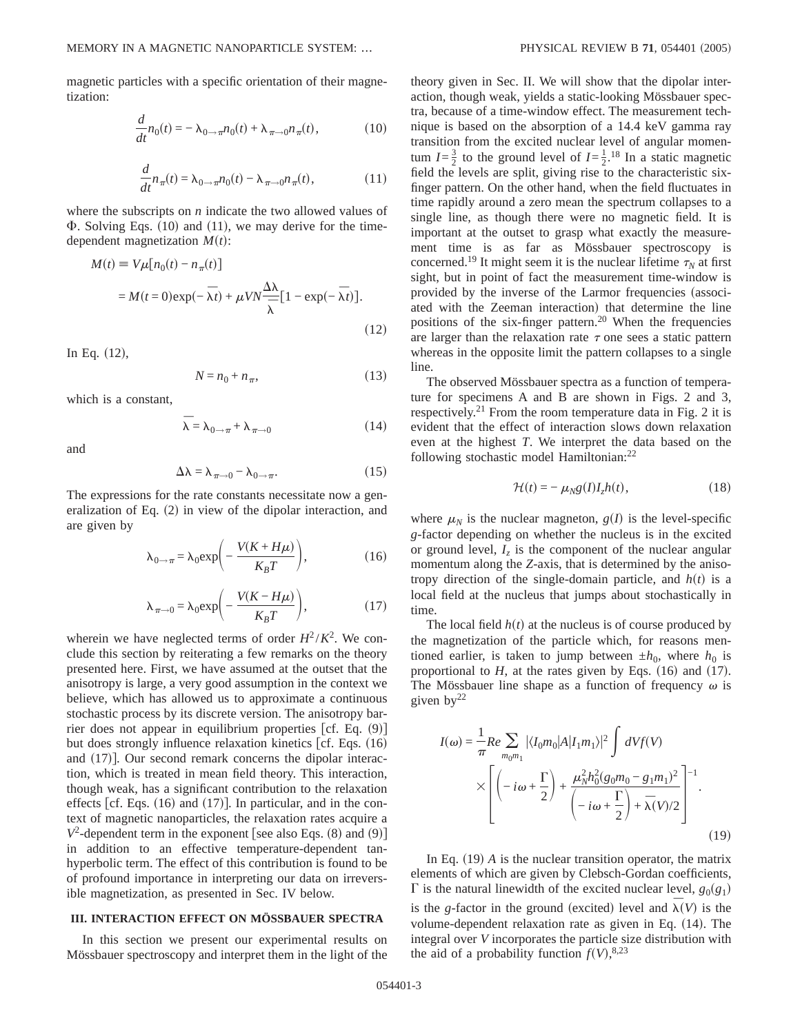magnetic particles with a specific orientation of their magnetization:

$$
\frac{d}{dt}n_0(t) = -\lambda_{0 \to \pi}n_0(t) + \lambda_{\pi \to 0}n_{\pi}(t),
$$
\n(10)

$$
\frac{d}{dt}n_{\pi}(t) = \lambda_{0 \to \pi}n_0(t) - \lambda_{\pi \to 0}n_{\pi}(t),
$$
\n(11)

where the subscripts on *n* indicate the two allowed values of  $\Phi$ . Solving Eqs. (10) and (11), we may derive for the timedependent magnetization  $M(t)$ :

$$
M(t) \equiv V\mu[n_0(t) - n_\pi(t)]
$$
  
=  $M(t=0) \exp(-\bar{\lambda}t) + \mu V N \frac{\Delta \lambda}{\bar{\lambda}} [1 - \exp(-\bar{\lambda}t)].$  (12)

In Eq.  $(12)$ ,

$$
N = n_0 + n_\pi,\tag{13}
$$

which is a constant,

$$
\overline{\lambda} = \lambda_{0 \to \pi} + \lambda_{\pi \to 0} \tag{14}
$$

and

$$
\Delta\lambda = \lambda_{\pi \to 0} - \lambda_{0 \to \pi}.
$$
 (15)

The expressions for the rate constants necessitate now a generalization of Eq.  $(2)$  in view of the dipolar interaction, and are given by

$$
\lambda_{0 \to \pi} = \lambda_0 \exp\left(-\frac{V(K + H\mu)}{K_B T}\right),\tag{16}
$$

$$
\lambda_{\pi \to 0} = \lambda_0 \exp\left(-\frac{V(K - H\mu)}{K_B T}\right),\tag{17}
$$

wherein we have neglected terms of order  $H^2/K^2$ . We conclude this section by reiterating a few remarks on the theory presented here. First, we have assumed at the outset that the anisotropy is large, a very good assumption in the context we believe, which has allowed us to approximate a continuous stochastic process by its discrete version. The anisotropy barrier does not appear in equilibrium properties  $\lceil cf. \text{Eq. } (9) \rceil$ but does strongly influence relaxation kinetics  $\lceil cf. \rceil$  Eqs. (16) and  $(17)$ ]. Our second remark concerns the dipolar interaction, which is treated in mean field theory. This interaction, though weak, has a significant contribution to the relaxation effects [cf. Eqs.  $(16)$  and  $(17)$ ]. In particular, and in the context of magnetic nanoparticles, the relaxation rates acquire a  $V^2$ -dependent term in the exponent [see also Eqs. (8) and (9)] in addition to an effective temperature-dependent tanhyperbolic term. The effect of this contribution is found to be of profound importance in interpreting our data on irreversible magnetization, as presented in Sec. IV below.

## **III. INTERACTION EFFECT ON MÖSSBAUER SPECTRA**

In this section we present our experimental results on Mössbauer spectroscopy and interpret them in the light of the theory given in Sec. II. We will show that the dipolar interaction, though weak, yields a static-looking Mössbauer spectra, because of a time-window effect. The measurement technique is based on the absorption of a 14.4 keV gamma ray transition from the excited nuclear level of angular momentum  $I = \frac{3}{2}$  to the ground level of  $I = \frac{1}{2}$ .<sup>18</sup> In a static magnetic field the levels are split, giving rise to the characteristic sixfinger pattern. On the other hand, when the field fluctuates in time rapidly around a zero mean the spectrum collapses to a single line, as though there were no magnetic field. It is important at the outset to grasp what exactly the measurement time is as far as Mössbauer spectroscopy is concerned.<sup>19</sup> It might seem it is the nuclear lifetime  $\tau_N$  at first sight, but in point of fact the measurement time-window is provided by the inverse of the Larmor frequencies (associ-ated with the Zeeman interaction) that determine the line positions of the six-finger pattern.<sup>20</sup> When the frequencies are larger than the relaxation rate  $\tau$  one sees a static pattern whereas in the opposite limit the pattern collapses to a single line.

The observed Mössbauer spectra as a function of temperature for specimens A and B are shown in Figs. 2 and 3, respectively.<sup>21</sup> From the room temperature data in Fig. 2 it is evident that the effect of interaction slows down relaxation even at the highest *T*. We interpret the data based on the following stochastic model Hamiltonian:<sup>22</sup>

$$
\mathcal{H}(t) = -\mu_{N}g(I)I_{z}h(t), \qquad (18)
$$

where  $\mu_N$  is the nuclear magneton,  $g(I)$  is the level-specific *g*-factor depending on whether the nucleus is in the excited or ground level,  $I_z$  is the component of the nuclear angular momentum along the *Z*-axis, that is determined by the anisotropy direction of the single-domain particle, and  $h(t)$  is a local field at the nucleus that jumps about stochastically in time.

The local field  $h(t)$  at the nucleus is of course produced by the magnetization of the particle which, for reasons mentioned earlier, is taken to jump between  $\pm h_0$ , where  $h_0$  is proportional to  $H$ , at the rates given by Eqs.  $(16)$  and  $(17)$ . The Mössbauer line shape as a function of frequency  $\omega$  is given  $by^{22}$ 

$$
I(\omega) = \frac{1}{\pi} Re \sum_{m_0 m_1} |\langle I_0 m_0 | A | I_1 m_1 \rangle|^2 \int dV f(V)
$$
  
 
$$
\times \left[ \left( -i\omega + \frac{\Gamma}{2} \right) + \frac{\mu_N^2 h_0^2 (g_0 m_0 - g_1 m_1)^2}{\left( -i\omega + \frac{\Gamma}{2} \right) + \bar{\lambda}(V)/2} \right]^{-1}.
$$
 (19)

In Eq.  $(19)$  *A* is the nuclear transition operator, the matrix elements of which are given by Clebsch-Gordan coefficients,  $\Gamma$  is the natural linewidth of the excited nuclear level,  $g_0(g_1)$ is the *g*-factor in the ground (excited) level and  $\overline{\lambda}(V)$  is the volume-dependent relaxation rate as given in Eq.  $(14)$ . The integral over *V* incorporates the particle size distribution with the aid of a probability function  $f(V)$ ,<sup>8,23</sup>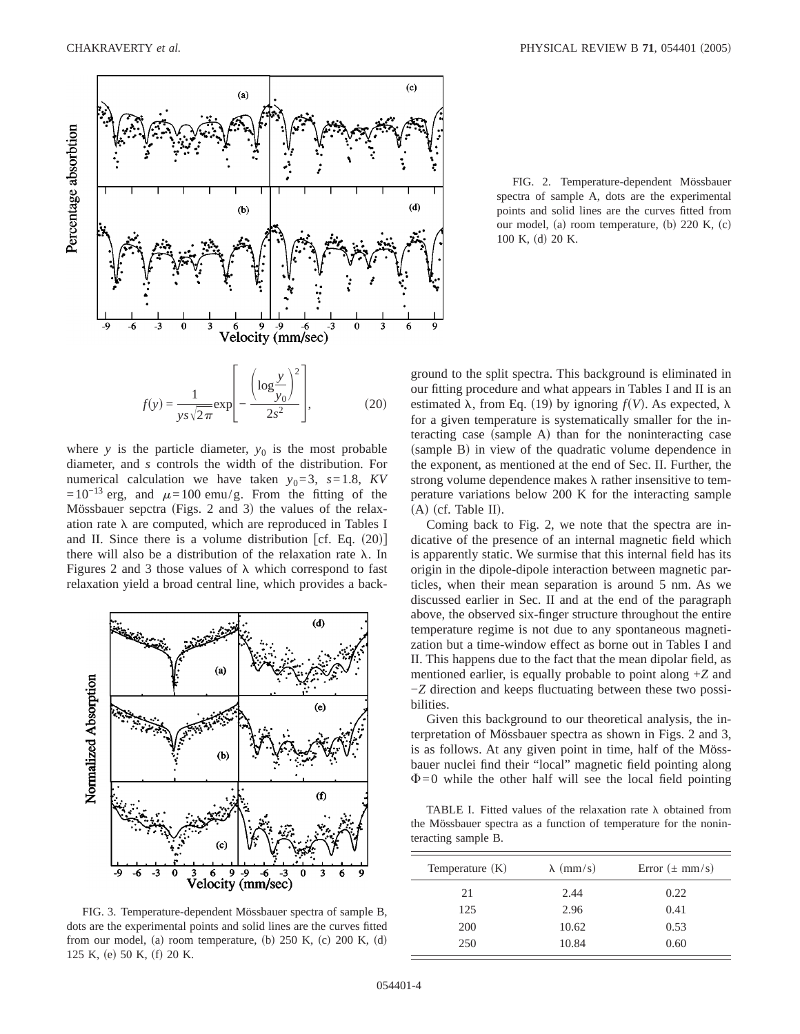

where  $y$  is the particle diameter,  $y_0$  is the most probable diameter, and *s* controls the width of the distribution. For numerical calculation we have taken  $y_0 = 3$ ,  $s = 1.8$ , KV  $=10^{-13}$  erg, and  $\mu=100$  emu/g. From the fitting of the Mössbauer sepctra (Figs. 2 and 3) the values of the relaxation rate  $\lambda$  are computed, which are reproduced in Tables I and II. Since there is a volume distribution [cf. Eq.  $(20)$ ] there will also be a distribution of the relaxation rate  $\lambda$ . In Figures 2 and 3 those values of  $\lambda$  which correspond to fast relaxation yield a broad central line, which provides a back-



FIG. 3. Temperature-dependent Mössbauer spectra of sample B, dots are the experimental points and solid lines are the curves fitted from our model, (a) room temperature, (b)  $250$  K, (c)  $200$  K, (d) 125 K, (e) 50 K, (f) 20 K.

FIG. 2. Temperature-dependent Mössbauer spectra of sample A, dots are the experimental points and solid lines are the curves fitted from our model, (a) room temperature, (b)  $220$  K, (c) 100 K, (d) 20 K.

ground to the split spectra. This background is eliminated in our fitting procedure and what appears in Tables I and II is an estimated  $\lambda$ , from Eq. (19) by ignoring  $f(V)$ . As expected,  $\lambda$ for a given temperature is systematically smaller for the interacting case (sample A) than for the noninteracting case (sample B) in view of the quadratic volume dependence in the exponent, as mentioned at the end of Sec. II. Further, the strong volume dependence makes  $\lambda$  rather insensitive to temperature variations below 200 K for the interacting sample  $(A)$  (cf. Table II).

Coming back to Fig. 2, we note that the spectra are indicative of the presence of an internal magnetic field which is apparently static. We surmise that this internal field has its origin in the dipole-dipole interaction between magnetic particles, when their mean separation is around 5 nm. As we discussed earlier in Sec. II and at the end of the paragraph above, the observed six-finger structure throughout the entire temperature regime is not due to any spontaneous magnetization but a time-window effect as borne out in Tables I and II. This happens due to the fact that the mean dipolar field, as mentioned earlier, is equally probable to point along +*Z* and −*Z* direction and keeps fluctuating between these two possibilities.

Given this background to our theoretical analysis, the interpretation of Mössbauer spectra as shown in Figs. 2 and 3, is as follows. At any given point in time, half of the Mössbauer nuclei find their "local" magnetic field pointing along  $\Phi$ =0 while the other half will see the local field pointing

TABLE I. Fitted values of the relaxation rate  $\lambda$  obtained from the Mössbauer spectra as a function of temperature for the noninteracting sample B.

| Temperature $(K)$ | $\lambda$ (mm/s) | Error $(\pm$ mm/s) |
|-------------------|------------------|--------------------|
| 21                | 2.44             | 0.22               |
| 125               | 2.96             | 0.41               |
| 200               | 10.62            | 0.53               |
| 250               | 10.84            | 0.60               |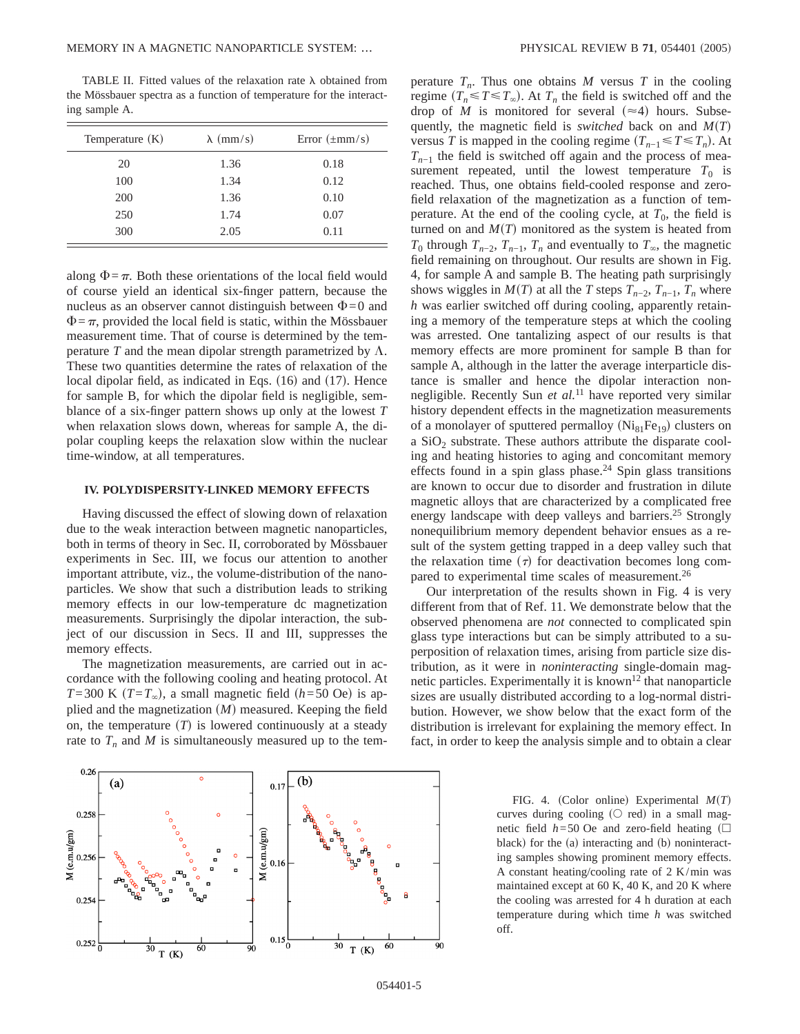TABLE II. Fitted values of the relaxation rate  $\lambda$  obtained from the Mössbauer spectra as a function of temperature for the interacting sample A.

| Temperature $(K)$ | $\lambda$ (mm/s) | Error $(\pm \text{mm/s})$ |
|-------------------|------------------|---------------------------|
| 20                | 1.36             | 0.18                      |
| 100               | 1.34             | 0.12                      |
| 200               | 1.36             | 0.10                      |
| 250               | 1.74             | 0.07                      |
| 300               | 2.05             | 0.11                      |

along  $\Phi = \pi$ . Both these orientations of the local field would of course yield an identical six-finger pattern, because the nucleus as an observer cannot distinguish between  $\Phi=0$  and  $\Phi = \pi$ , provided the local field is static, within the Mössbauer measurement time. That of course is determined by the temperature  $T$  and the mean dipolar strength parametrized by  $\Lambda$ . These two quantities determine the rates of relaxation of the local dipolar field, as indicated in Eqs.  $(16)$  and  $(17)$ . Hence for sample B, for which the dipolar field is negligible, semblance of a six-finger pattern shows up only at the lowest *T* when relaxation slows down, whereas for sample A, the dipolar coupling keeps the relaxation slow within the nuclear time-window, at all temperatures.

# **IV. POLYDISPERSITY-LINKED MEMORY EFFECTS**

Having discussed the effect of slowing down of relaxation due to the weak interaction between magnetic nanoparticles, both in terms of theory in Sec. II, corroborated by Mössbauer experiments in Sec. III, we focus our attention to another important attribute, viz., the volume-distribution of the nanoparticles. We show that such a distribution leads to striking memory effects in our low-temperature dc magnetization measurements. Surprisingly the dipolar interaction, the subject of our discussion in Secs. II and III, suppresses the memory effects.

The magnetization measurements, are carried out in accordance with the following cooling and heating protocol. At *T*=300 K  $(T=T_\infty)$ , a small magnetic field  $(h=50 \text{ Oe})$  is applied and the magnetization  $(M)$  measured. Keeping the field on, the temperature  $(T)$  is lowered continuously at a steady rate to  $T_n$  and M is simultaneously measured up to the temperature  $T_n$ . Thus one obtains M versus T in the cooling regime  $(T_n \le T \le T_\infty)$ . At  $T_n$  the field is switched off and the drop of *M* is monitored for several  $(\approx 4)$  hours. Subsequently, the magnetic field is *switched* back on and  $M(T)$ versus *T* is mapped in the cooling regime  $(T_{n-1} \le T \le T_n)$ . At  $T_{n-1}$  the field is switched off again and the process of measurement repeated, until the lowest temperature  $T_0$  is reached. Thus, one obtains field-cooled response and zerofield relaxation of the magnetization as a function of temperature. At the end of the cooling cycle, at  $T_0$ , the field is turned on and  $M(T)$  monitored as the system is heated from *T*<sub>0</sub> through  $T_{n-2}$ ,  $T_{n-1}$ ,  $T_n$  and eventually to  $T_\infty$ , the magnetic field remaining on throughout. Our results are shown in Fig. 4, for sample A and sample B. The heating path surprisingly shows wiggles in  $M(T)$  at all the *T* steps  $T_{n-2}$ ,  $T_{n-1}$ ,  $T_n$  where *h* was earlier switched off during cooling, apparently retaining a memory of the temperature steps at which the cooling was arrested. One tantalizing aspect of our results is that memory effects are more prominent for sample B than for sample A, although in the latter the average interparticle distance is smaller and hence the dipolar interaction nonnegligible. Recently Sun *et al.*<sup>11</sup> have reported very similar history dependent effects in the magnetization measurements of a monolayer of sputtered permalloy  $(Ni_{81}Fe_{19})$  clusters on a  $SiO<sub>2</sub>$  substrate. These authors attribute the disparate cooling and heating histories to aging and concomitant memory effects found in a spin glass phase.<sup>24</sup> Spin glass transitions are known to occur due to disorder and frustration in dilute magnetic alloys that are characterized by a complicated free energy landscape with deep valleys and barriers.<sup>25</sup> Strongly nonequilibrium memory dependent behavior ensues as a result of the system getting trapped in a deep valley such that the relaxation time  $(\tau)$  for deactivation becomes long compared to experimental time scales of measurement.<sup>26</sup>

Our interpretation of the results shown in Fig. 4 is very different from that of Ref. 11. We demonstrate below that the observed phenomena are *not* connected to complicated spin glass type interactions but can be simply attributed to a superposition of relaxation times, arising from particle size distribution, as it were in *noninteracting* single-domain magnetic particles. Experimentally it is known<sup>12</sup> that nanoparticle sizes are usually distributed according to a log-normal distribution. However, we show below that the exact form of the distribution is irrelevant for explaining the memory effect. In fact, in order to keep the analysis simple and to obtain a clear



FIG. 4. (Color online) Experimental  $M(T)$ curves during cooling  $(O \text{ red})$  in a small magnetic field  $h=50$  Oe and zero-field heating  $\Box$ black) for the  $(a)$  interacting and  $(b)$  noninteracting samples showing prominent memory effects. A constant heating/cooling rate of 2 K/min was maintained except at 60 K, 40 K, and 20 K where the cooling was arrested for 4 h duration at each temperature during which time *h* was switched off.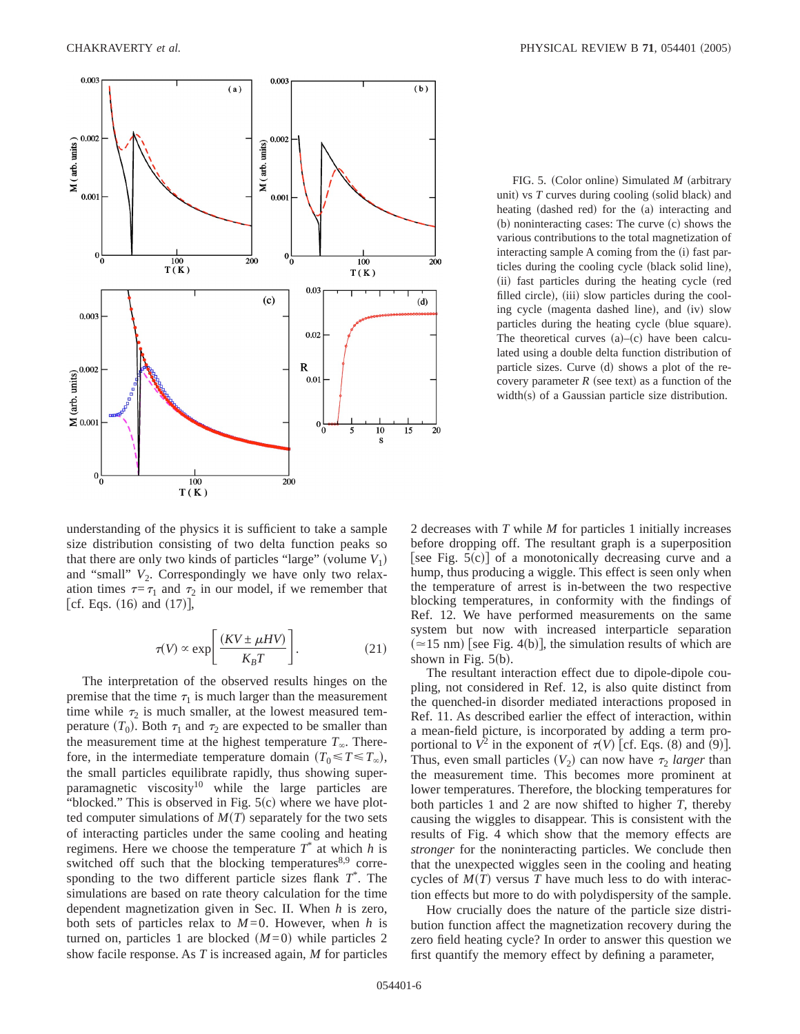

FIG. 5. (Color online) Simulated *M* (arbitrary unit) vs  $T$  curves during cooling (solid black) and heating (dashed red) for the (a) interacting and  $(b)$  noninteracting cases: The curve  $(c)$  shows the various contributions to the total magnetization of interacting sample A coming from the (i) fast particles during the cooling cycle (black solid line), (ii) fast particles during the heating cycle (red filled circle), (iii) slow particles during the cooling cycle (magenta dashed line), and (iv) slow particles during the heating cycle (blue square). The theoretical curves  $(a)$ – $(c)$  have been calculated using a double delta function distribution of particle sizes. Curve  $(d)$  shows a plot of the recovery parameter  $R$  (see text) as a function of the  $width(s)$  of a Gaussian particle size distribution.

understanding of the physics it is sufficient to take a sample size distribution consisting of two delta function peaks so that there are only two kinds of particles "large" (volume  $V_1$ ) and "small"  $V_2$ . Correspondingly we have only two relaxation times  $\tau=\tau_1$  and  $\tau_2$  in our model, if we remember that [cf. Eqs.  $(16)$  and  $(17)$ ],

$$
\tau(V) \propto \exp\left[\frac{(KV \pm \mu HV)}{K_B T}\right].\tag{21}
$$

The interpretation of the observed results hinges on the premise that the time  $\tau_1$  is much larger than the measurement time while  $\tau_2$  is much smaller, at the lowest measured temperature  $(T_0)$ . Both  $\tau_1$  and  $\tau_2$  are expected to be smaller than the measurement time at the highest temperature  $T_\infty$ . Therefore, in the intermediate temperature domain  $(T_0 \le T \le T_\infty)$ , the small particles equilibrate rapidly, thus showing superparamagnetic viscosity<sup>10</sup> while the large particles are "blocked." This is observed in Fig.  $5(c)$  where we have plotted computer simulations of  $M(T)$  separately for the two sets of interacting particles under the same cooling and heating regimens. Here we choose the temperature  $T^*$  at which  $h$  is switched off such that the blocking temperatures $8,9$  corresponding to the two different particle sizes flank  $T^*$ . The simulations are based on rate theory calculation for the time dependent magnetization given in Sec. II. When *h* is zero, both sets of particles relax to  $M=0$ . However, when *h* is turned on, particles 1 are blocked  $(M=0)$  while particles 2 show facile response. As *T* is increased again, *M* for particles 2 decreases with *T* while *M* for particles 1 initially increases before dropping off. The resultant graph is a superposition [see Fig.  $5(c)$ ] of a monotonically decreasing curve and a hump, thus producing a wiggle. This effect is seen only when the temperature of arrest is in-between the two respective blocking temperatures, in conformity with the findings of Ref. 12. We have performed measurements on the same system but now with increased interparticle separation  $($  = 15 nm) [see Fig. 4(b)], the simulation results of which are shown in Fig.  $5(b)$ .

The resultant interaction effect due to dipole-dipole coupling, not considered in Ref. 12, is also quite distinct from the quenched-in disorder mediated interactions proposed in Ref. 11. As described earlier the effect of interaction, within a mean-field picture, is incorporated by adding a term proportional to  $V^2$  in the exponent of  $\tau(V)$  [cf. Eqs. (8) and (9)]. Thus, even small particles  $(V_2)$  can now have  $\tau_2$  *larger* than the measurement time. This becomes more prominent at lower temperatures. Therefore, the blocking temperatures for both particles 1 and 2 are now shifted to higher *T*, thereby causing the wiggles to disappear. This is consistent with the results of Fig. 4 which show that the memory effects are *stronger* for the noninteracting particles. We conclude then that the unexpected wiggles seen in the cooling and heating cycles of  $M(T)$  versus *T* have much less to do with interaction effects but more to do with polydispersity of the sample.

How crucially does the nature of the particle size distribution function affect the magnetization recovery during the zero field heating cycle? In order to answer this question we first quantify the memory effect by defining a parameter,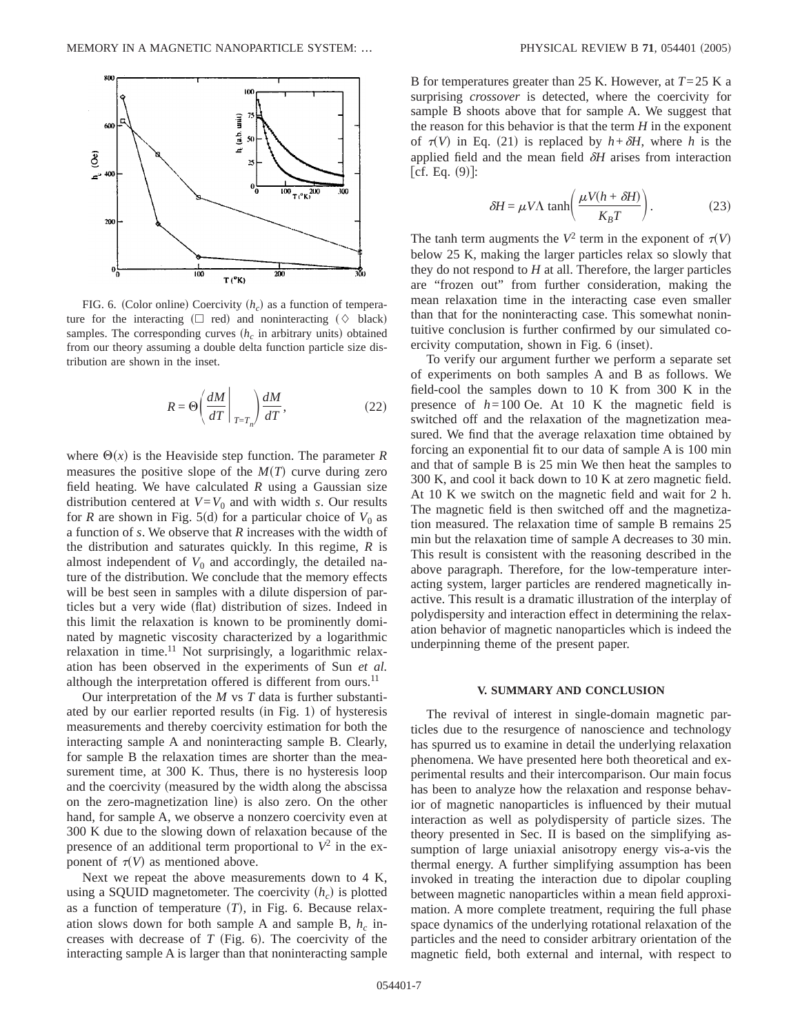

FIG. 6. (Color online) Coercivity  $(h<sub>c</sub>)$  as a function of temperature for the interacting ( $\Box$  red) and noninteracting ( $\Diamond$  black) samples. The corresponding curves  $(h<sub>c</sub>$  in arbitrary units) obtained from our theory assuming a double delta function particle size distribution are shown in the inset.

$$
R = \Theta\left(\frac{dM}{dT}\bigg|_{T=T_n}\right)\frac{dM}{dT},\qquad(22)
$$

where  $\Theta(x)$  is the Heaviside step function. The parameter *R* measures the positive slope of the  $M(T)$  curve during zero field heating. We have calculated *R* using a Gaussian size distribution centered at  $V=V_0$  and with width *s*. Our results for *R* are shown in Fig. 5(d) for a particular choice of  $V_0$  as a function of *s*. We observe that *R* increases with the width of the distribution and saturates quickly. In this regime, *R* is almost independent of  $V_0$  and accordingly, the detailed nature of the distribution. We conclude that the memory effects will be best seen in samples with a dilute dispersion of particles but a very wide (flat) distribution of sizes. Indeed in this limit the relaxation is known to be prominently dominated by magnetic viscosity characterized by a logarithmic relaxation in time.<sup>11</sup> Not surprisingly, a logarithmic relaxation has been observed in the experiments of Sun *et al.* although the interpretation offered is different from ours.<sup>11</sup>

Our interpretation of the *M* vs *T* data is further substantiated by our earlier reported results (in Fig. 1) of hysteresis measurements and thereby coercivity estimation for both the interacting sample A and noninteracting sample B. Clearly, for sample B the relaxation times are shorter than the measurement time, at 300 K. Thus, there is no hysteresis loop and the coercivity (measured by the width along the abscissa on the zero-magnetization line) is also zero. On the other hand, for sample A, we observe a nonzero coercivity even at 300 K due to the slowing down of relaxation because of the presence of an additional term proportional to  $V^2$  in the exponent of  $\tau(V)$  as mentioned above.

Next we repeat the above measurements down to 4 K, using a SQUID magnetometer. The coercivity  $(h<sub>c</sub>)$  is plotted as a function of temperature  $(T)$ , in Fig. 6. Because relaxation slows down for both sample A and sample B,  $h_c$  increases with decrease of  $T$  (Fig. 6). The coercivity of the interacting sample A is larger than that noninteracting sample B for temperatures greater than 25 K. However, at *T*=25 K a surprising *crossover* is detected, where the coercivity for sample B shoots above that for sample A. We suggest that the reason for this behavior is that the term  $H$  in the exponent of  $\tau(V)$  in Eq. (21) is replaced by  $h + \delta H$ , where *h* is the applied field and the mean field <sup>d</sup>*H* arises from interaction  $[cf. Eq. (9)]$ :

$$
\delta H = \mu V \Lambda \tanh\left(\frac{\mu V (h + \delta H)}{K_B T}\right). \tag{23}
$$

The tanh term augments the  $V^2$  term in the exponent of  $\tau(V)$ below 25 K, making the larger particles relax so slowly that they do not respond to *H* at all. Therefore, the larger particles are "frozen out" from further consideration, making the mean relaxation time in the interacting case even smaller than that for the noninteracting case. This somewhat nonintuitive conclusion is further confirmed by our simulated coercivity computation, shown in Fig. 6 (inset).

To verify our argument further we perform a separate set of experiments on both samples A and B as follows. We field-cool the samples down to 10 K from 300 K in the presence of  $h=100$  Oe. At 10 K the magnetic field is switched off and the relaxation of the magnetization measured. We find that the average relaxation time obtained by forcing an exponential fit to our data of sample A is 100 min and that of sample B is 25 min We then heat the samples to 300 K, and cool it back down to 10 K at zero magnetic field. At 10 K we switch on the magnetic field and wait for 2 h. The magnetic field is then switched off and the magnetization measured. The relaxation time of sample B remains 25 min but the relaxation time of sample A decreases to 30 min. This result is consistent with the reasoning described in the above paragraph. Therefore, for the low-temperature interacting system, larger particles are rendered magnetically inactive. This result is a dramatic illustration of the interplay of polydispersity and interaction effect in determining the relaxation behavior of magnetic nanoparticles which is indeed the underpinning theme of the present paper.

#### **V. SUMMARY AND CONCLUSION**

The revival of interest in single-domain magnetic particles due to the resurgence of nanoscience and technology has spurred us to examine in detail the underlying relaxation phenomena. We have presented here both theoretical and experimental results and their intercomparison. Our main focus has been to analyze how the relaxation and response behavior of magnetic nanoparticles is influenced by their mutual interaction as well as polydispersity of particle sizes. The theory presented in Sec. II is based on the simplifying assumption of large uniaxial anisotropy energy vis-a-vis the thermal energy. A further simplifying assumption has been invoked in treating the interaction due to dipolar coupling between magnetic nanoparticles within a mean field approximation. A more complete treatment, requiring the full phase space dynamics of the underlying rotational relaxation of the particles and the need to consider arbitrary orientation of the magnetic field, both external and internal, with respect to